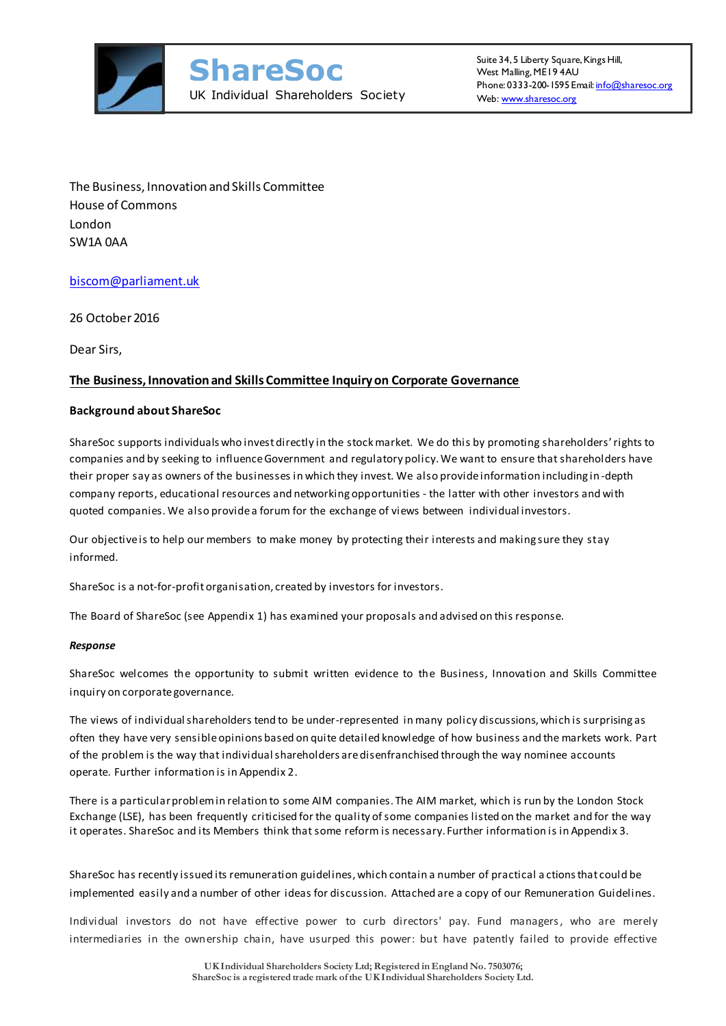

The Business, Innovation and Skills Committee House of Commons London SW1A 0AA

### [biscom@parliament.uk](mailto:biscom@parliament.uk)

26 October 2016

Dear Sirs,

### **The Business, Innovation and Skills Committee Inquiry on Corporate Governance**

### **Background about ShareSoc**

ShareSoc supports individuals who invest directly in the stock market. We do this by promoting shareholders' rights to companies and by seeking to influence Government and regulatory policy. We want to ensure that shareholders have their proper say as owners of the businesses in which they invest. We also provide information including in -depth company reports, educational resources and networking opportunities - the latter with other investors and with quoted companies. We also provide a forum for the exchange of views between individual investors.

Our objective is to help our members to make money by protecting their interests and making sure they stay informed.

ShareSoc is a not-for-profit organisation, created by investors for investors.

The Board of ShareSoc (see Appendix 1) has examined your proposals and advised on this response.

### *Response*

ShareSoc welcomes the opportunity to submit written evidence to the Business, Innovation and Skills Committee inquiry on corporate governance.

The views of individual shareholders tend to be under-represented in many policy discussions, which is surprising as often they have very sensible opinions based on quite detailed knowledge of how business and the markets work. Part of the problem is the way that individual shareholders are disenfranchised through the way nominee accounts operate. Further information is in Appendix 2.

There is a particular problem in relation to some AIM companies. The AIM market, which is run by the London Stock Exchange (LSE), has been frequently criticised for the quality of some companies listed on the market and for the way it operates. ShareSoc and its Members think that some reform is necessary. Further information is in Appendix 3.

ShareSoc has recently issued its remuneration guidelines, which contain a number of practical a ctions that could be implemented easily and a number of other ideas for discussion. Attached are a copy of our Remuneration Guidelines.

Individual investors do not have effective power to curb directors' pay. Fund managers, who are merely intermediaries in the ownership chain, have usurped this power: but have patently failed to provide effective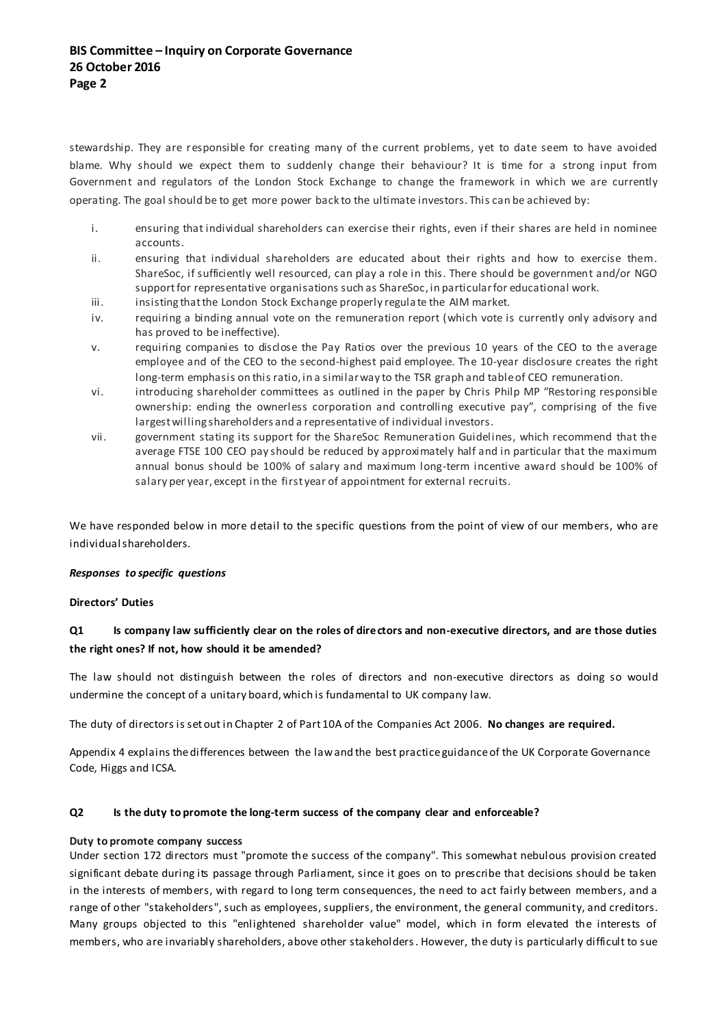stewardship. They are responsible for creating many of the current problems, yet to date seem to have avoided blame. Why should we expect them to suddenly change their behaviour? It is time for a strong input from Government and regulators of the London Stock Exchange to change the framework in which we are currently operating. The goal should be to get more power back to the ultimate investors. This can be achieved by:

- i. ensuring that individual shareholders can exercise their rights, even if their shares are held in nominee accounts.
- ii. ensuring that individual shareholders are educated about their rights and how to exercise them. ShareSoc, if sufficiently well resourced, can play a role in this. There should be government and/or NGO support for representative organisations such as ShareSoc, in particular for educational work.
- iii. iii. insisting that the London Stock Exchange properly regulate the AIM market.
- iv. requiring a binding annual vote on the remuneration report (which vote is currently only advisory and has proved to be ineffective).
- v. requiring companies to disclose the Pay Ratios over the previous 10 years of the CEO to the average employee and of the CEO to the second-highest paid employee. The 10-year disclosure creates the right long-term emphasis on this ratio, in a similar way to the TSR graph and table of CEO remuneration.
- vi. introducing shareholder committees as outlined in the paper by Chris Philp MP "Restoring responsible ownership: ending the ownerless corporation and controlling executive pay", comprising of the five largest willing shareholders and a representative of individual investors.
- vii. government stating its support for the ShareSoc Remuneration Guidelines, which recommend that the average FTSE 100 CEO pay should be reduced by approximately half and in particular that the maximum annual bonus should be 100% of salary and maximum long-term incentive award should be 100% of salary per year, except in the first year of appointment for external recruits.

We have responded below in more detail to the specific questions from the point of view of our members, who are individual shareholders.

### *Responses to specific questions*

### **Directors' Duties**

### **Q1 Is company law sufficiently clear on the roles of directors and non-executive directors, and are those duties the right ones? If not, how should it be amended?**

The law should not distinguish between the roles of directors and non-executive directors as doing so would undermine the concept of a unitary board, which is fundamental to UK company law.

The duty of directors is set out in Chapter 2 of Part 10A of the Companies Act 2006. **No changes are required.**

Appendix 4 explains the differences between the law and the best practice guidance of the UK Corporate Governance Code, Higgs and ICSA.

### **Q2 Is the duty to promote the long-term success of the company clear and enforceable?**

### **Duty to promote company success**

Under section 172 directors must "promote the success of the company". This somewhat nebulous provision created significant debate during its passage through Parliament, since it goes on to prescribe that decisions should be taken in the interests of members, with regard to long term consequences, the need to act fairly between members, and a range of other ["stakeholders"](https://en.wikipedia.org/wiki/Stakeholder_(corporate)), such as employees, suppliers, the environment, the general community, and creditors. Many groups objected to this "enlightened [shareholder value"](https://en.wikipedia.org/wiki/Shareholder_value) model, which in form elevated the interests of members, who are invariably shareholders, above other stakeholders. However, the duty is particularly difficult to sue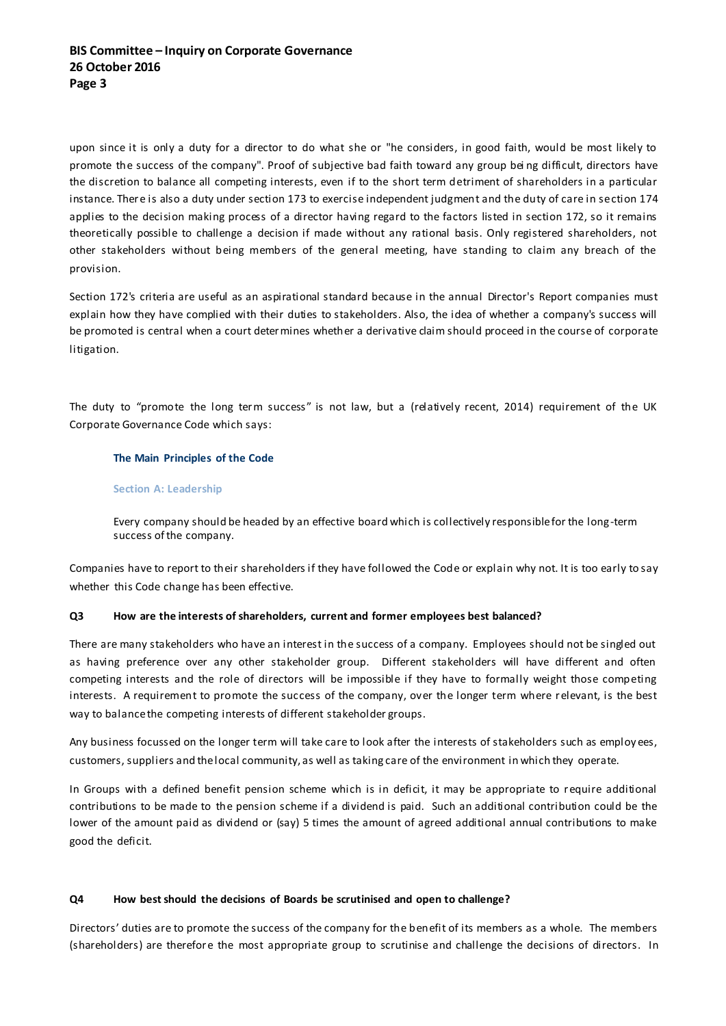upon since it is only a duty for a director to do what she or "he considers, in good faith, would be most likely to promote the success of the company". Proof of subjective bad faith toward any group bei ng difficult, directors have the discretion to balance all competing interests, even if to the short term detriment of shareholders in a particular instance. There is also a duty under section 173 to exercise independent judgment and the duty of care in section 174 applies to the decision making process of a director having regard to the factors listed in section 172, so it remains theoretically possible to challenge a decision if made without any rational basis. Only registered shareholders, not other stakeholders without being members of the general meeting, have standing to claim any breach of the provision.

Section 172's criteria are useful as an aspirational standard because in the annual [Director's Report](https://en.wikipedia.org/wiki/Director%27s_Report) companies must explain how they have complied with their duties to stakeholders. Also, the idea of whether a company's success will be promoted is central when a court determines whether a derivative claim should proceed in the course of corporate litigation.

The duty to "promote the long term success" is not law, but a (relatively recent, 2014) requirement of the UK Corporate Governance Code which says:

### **The Main Principles of the Code**

#### **Section A: Leadership**

Every company should be headed by an effective board which is collectively responsible for the long-term success of the company.

Companies have to report to their shareholders if they have followed the Code or explain why not. It is too early to say whether this Code change has been effective.

### **Q3 How are the interests of shareholders, current and former employees best balanced?**

There are many stakeholders who have an interest in the success of a company. Employees should not be singled out as having preference over any other stakeholder group. Different stakeholders will have different and often competing interests and the role of directors will be impossible if they have to formally weight those competing interests. A requirement to promote the success of the company, over the longer term where relevant, is the best way to balance the competing interests of different stakeholder groups.

Any business focussed on the longer term will take care to look after the interests of stakeholders such as employ ees, customers, suppliers and the local community, as well as taking care of the environment in which they operate.

In Groups with a defined benefit pension scheme which is in deficit, it may be appropriate to require additional contributions to be made to the pension scheme if a dividend is paid. Such an additional contribution could be the lower of the amount paid as dividend or (say) 5 times the amount of agreed additional annual contributions to make good the deficit.

### **Q4 How best should the decisions of Boards be scrutinised and open to challenge?**

Directors' duties are to promote the success of the company for the benefit of its members as a whole. The members (shareholders) are therefore the most appropriate group to scrutinise and challenge the decisions of directors. In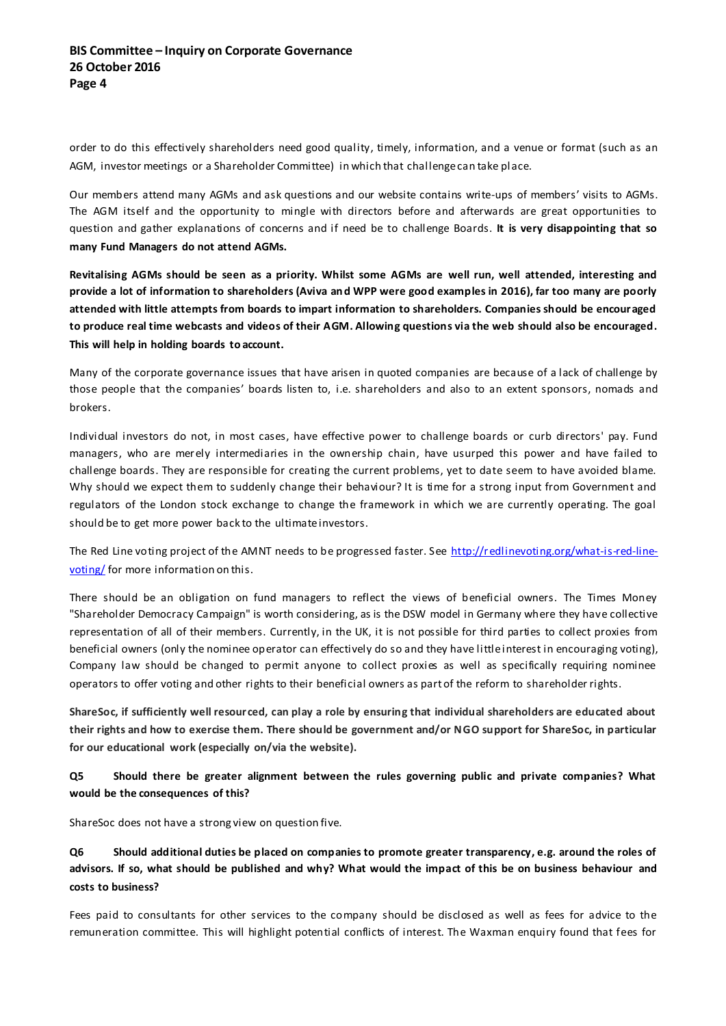order to do this effectively shareholders need good quality, timely, information, and a venue or format (such as an AGM, investor meetings or a Shareholder Committee) in which that challenge can take place.

Our members attend many AGMs and ask questions and our website contains write-ups of members' visits to AGMs. The AGM itself and the opportunity to mingle with directors before and afterwards are great opportunities to question and gather explanations of concerns and if need be to challenge Boards. **It is very disappointing that so many Fund Managers do not attend AGMs.**

**Revitalising AGMs should be seen as a priority. Whilst some AGMs are well run, well attended, interesting and provide a lot of information to shareholders (Aviva and WPP were good examples in 2016), far too many are poorly attended with little attempts from boards to impart information to shareholders. Companies should be encouraged to produce real time webcasts and videos of their AGM. Allowing questions via the web should also be encouraged. This will help in holding boards to account.**

Many of the corporate governance issues that have arisen in quoted companies are because of a lack of challenge by those people that the companies' boards listen to, i.e. shareholders and also to an extent sponsors, nomads and brokers.

Individual investors do not, in most cases, have effective power to challenge boards or curb directors' pay. Fund managers, who are merely intermediaries in the ownership chain, have usurped this power and have failed to challenge boards. They are responsible for creating the current problems, yet to date seem to have avoided blame. Why should we expect them to suddenly change their behaviour? It is time for a strong input from Government and regulators of the London stock exchange to change the framework in which we are currently operating. The goal should be to get more power back to the ultimate investors.

The Red Line voting project of the AMNT needs to be progressed faster. See [http://redlinevoting.org/what-is-red-line](http://redlinevoting.org/what-is-red-line-voting/)[voting/](http://redlinevoting.org/what-is-red-line-voting/) for more information on this.

There should be an obligation on fund managers to reflect the views of beneficial owners. The Times Money "Shareholder Democracy Campaign" is worth considering, as is the DSW model in Germany where they have collective representation of all of their members. Currently, in the UK, it is not possible for third parties to collect proxies from beneficial owners (only the nominee operator can effectively do so and they have little interest in encouraging voting), Company law should be changed to permit anyone to collect proxies as well as specifically requiring nominee operators to offer voting and other rights to their beneficial owners as part of the reform to shareholder rights.

**ShareSoc, if sufficiently well resourced, can play a role by ensuring that individual shareholders are educated about their rights and how to exercise them. There should be government and/or NGO support for ShareSoc, in particular for our educational work (especially on/via the website).**

**Q5 Should there be greater alignment between the rules governing public and private companies? What would be the consequences of this?**

ShareSoc does not have a strong view on question five.

**Q6 Should additional duties be placed on companies to promote greater transparency, e.g. around the roles of advisors. If so, what should be published and why? What would the impact of this be on business behaviour and costs to business?**

Fees paid to consultants for other services to the company should be disclosed as well as fees for advice to the remuneration committee. This will highlight potential conflicts of interest. The Waxman enquiry found that fees for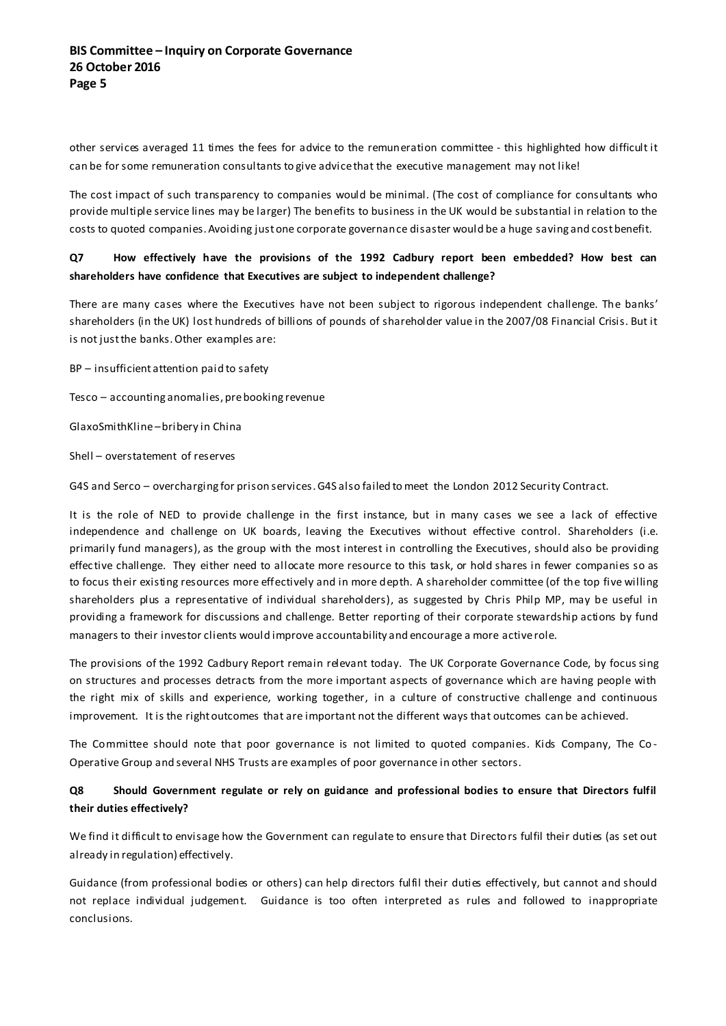other services averaged 11 times the fees for advice to the remuneration committee - this highlighted how difficult it can be for some remuneration consultants to give advice that the executive management may not like!

The cost impact of such transparency to companies would be minimal. (The cost of compliance for consultants who provide multiple service lines may be larger) The benefits to business in the UK would be substantial in relation to the costs to quoted companies. Avoiding just one corporate governance disaster would be a huge saving and cost benefit.

### **Q7 How effectively have the provisions of the 1992 Cadbury report been embedded? How best can shareholders have confidence that Executives are subject to independent challenge?**

There are many cases where the Executives have not been subject to rigorous independent challenge. The banks' shareholders (in the UK) lost hundreds of billions of pounds of shareholder value in the 2007/08 Financial Crisis. But it is not just the banks. Other examples are:

BP – insufficient attention paid to safety

Tesco – accounting anomalies, pre booking revenue

GlaxoSmithKline –bribery in China

Shell – overstatement of reserves

G4S and Serco – overcharging for prison services. G4S also failed to meet the London 2012 Security Contract.

It is the role of NED to provide challenge in the first instance, but in many cases we see a lack of effective independence and challenge on UK boards, leaving the Executives without effective control. Shareholders (i.e. primarily fund managers), as the group with the most interest in controlling the Executives, should also be providing effec tive challenge. They either need to allocate more resource to this task, or hold shares in fewer companies so as to focus their existing resources more effectively and in more depth. A shareholder committee (of the top five willing shareholders plus a representative of individual shareholders), as suggested by Chris Philp MP, may be useful in providing a framework for discussions and challenge. Better reporting of their corporate stewardship actions by fund managers to their investor clients would improve accountability and encourage a more active role.

The provisions of the 1992 Cadbury Report remain relevant today. The UK Corporate Governance Code, by focus sing on structures and processes detracts from the more important aspects of governance which are having people with the right mix of skills and experience, working together, in a culture of constructive challenge and continuous improvement. It is the right outcomes that are important not the different ways that outcomes can be achieved.

The Committee should note that poor governance is not limited to quoted companies. Kids Company, The Co - Operative Group and several NHS Trusts are examples of poor governance in other sectors.

### **Q8 Should Government regulate or rely on guidance and professional bodies to ensure that Directors fulfil their duties effectively?**

We find it difficult to envisage how the Government can regulate to ensure that Directors fulfil their duties (as set out already in regulation) effectively.

Guidance (from professional bodies or others) can help directors fulfil their duties effectively, but cannot and should not replace individual judgement. Guidance is too often interpreted as rules and followed to inappropriate conclusions.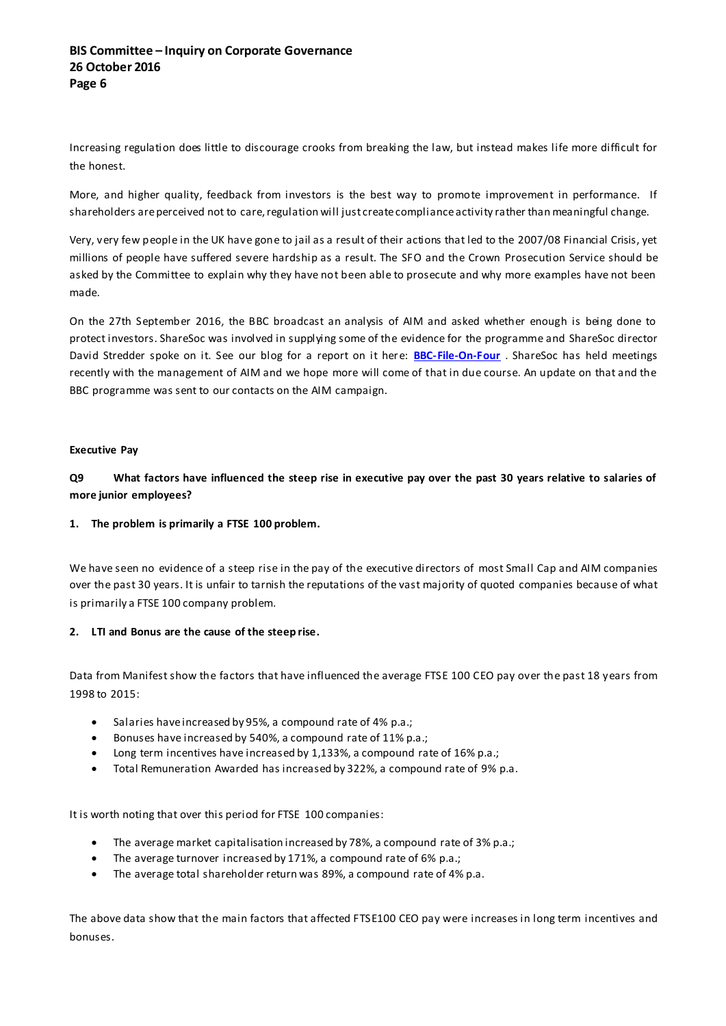Increasing regulation does little to discourage crooks from breaking the law, but instead makes life more difficult for the honest.

More, and higher quality, feedback from investors is the best way to promote improvement in performance. If shareholders are perceived not to care, regulation will just create compliance activity rather than meaningful change.

Very, very few people in the UK have gone to jail as a result of their actions that led to the 2007/08 Financial Crisis, yet millions of people have suffered severe hardship as a result. The SFO and the Crown Prosecution Service should be asked by the Committee to explain why they have not been able to prosecute and why more examples have not been made.

On the 27th September 2016, the BBC broadcast an analysis of AIM and asked whether enough is being done to protect investors. ShareSoc was involved in supplying some of the evidence for the programme and ShareSoc director David Stredder spoke on it. See our blog for a report on it here: **[BBC-File-On-Four](https://sharesoc.wordpress.com/2016/09/28/aim-is-enough-being-done-to-protect-investors/)** . ShareSoc has held meetings recently with the management of AIM and we hope more will come of that in due course. An update on that and the BBC programme was sent to our contacts on the AIM campaign.

### **Executive Pay**

**Q9 What factors have influenced the steep rise in executive pay over the past 30 years relative to salaries of more junior employees?**

### **1. The problem is primarily a FTSE 100 problem.**

We have seen no evidence of a steep rise in the pay of the executive directors of most Small Cap and AIM companies over the past 30 years. It is unfair to tarnish the reputations of the vast majority of quoted companies because of what is primarily a FTSE 100 company problem.

### **2. LTI and Bonus are the cause of the steep rise.**

Data from Manifest show the factors that have influenced the average FTSE 100 CEO pay over the past 18 years from 1998 to 2015:

- Salaries have increased by 95%, a compound rate of 4% p.a.;
- Bonuses have increased by 540%, a compound rate of 11% p.a.;
- Long term incentives have increased by 1,133%, a compound rate of 16% p.a.;
- Total Remuneration Awarded has increased by 322%, a compound rate of 9% p.a.

It is worth noting that over this period for FTSE 100 companies:

- The average market capitalisation increased by 78%, a compound rate of 3% p.a.;
- The average turnover increased by 171%, a compound rate of 6% p.a.;
- The average total shareholder return was 89%, a compound rate of 4% p.a.

The above data show that the main factors that affected FTSE100 CEO pay were increases in long term incentives and bonuses.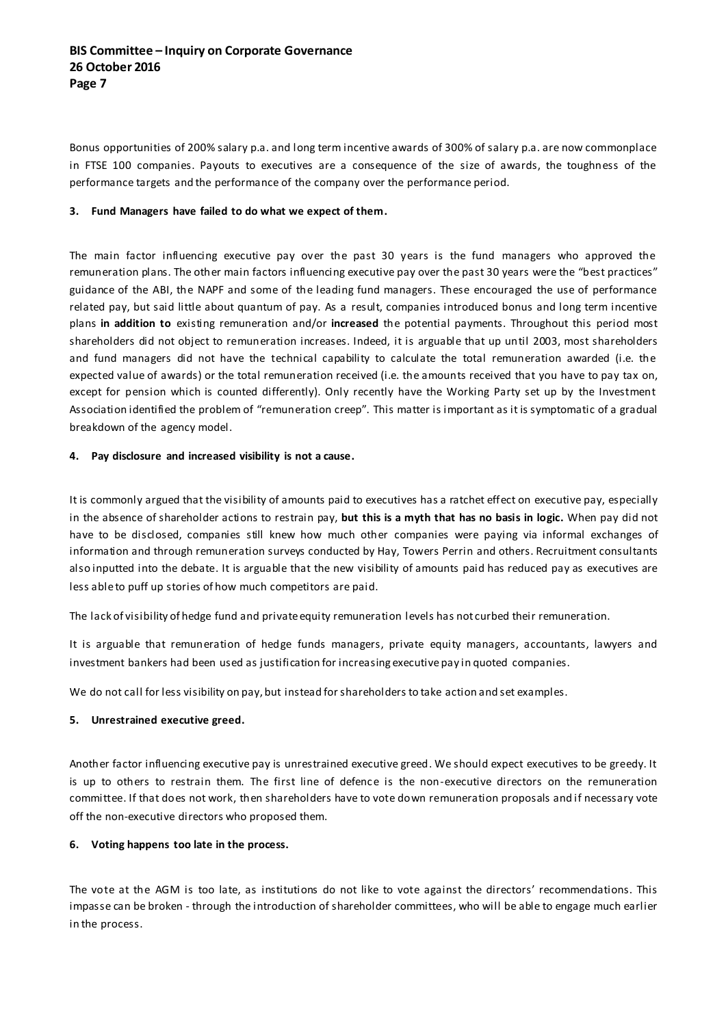Bonus opportunities of 200% salary p.a. and long term incentive awards of 300% of salary p.a. are now commonplace in FTSE 100 companies. Payouts to executives are a consequence of the size of awards, the toughness of the performance targets and the performance of the company over the performance period.

### **3. Fund Managers have failed to do what we expect of them.**

The main factor influencing executive pay over the past 30 years is the fund managers who approved the remuneration plans. The other main factors influencing executive pay over the past 30 years were the "best practices" guidance of the ABI, the NAPF and some of the leading fund managers. These encouraged the use of performance related pay, but said little about quantum of pay. As a result, companies introduced bonus and long term incentive plans **in addition to** existing remuneration and/or **increased** the potential payments. Throughout this period most shareholders did not object to remuneration increases. Indeed, it is arguable that up until 2003, most shareholders and fund managers did not have the technical capability to calculate the total remuneration awarded (i.e. the expected value of awards) or the total remuneration received (i.e. the amounts received that you have to pay tax on, except for pension which is counted differently). Only recently have the Working Party set up by the Investment Association identified the problem of "remuneration creep". This matter is important as it is symptomatic of a gradual breakdown of the agency model.

### **4. Pay disclosure and increased visibility is not a cause.**

It is commonly argued that the visibility of amounts paid to executives has a ratchet effect on executive pay, especially in the absence of shareholder actions to restrain pay, **but this is a myth that has no basis in logic.** When pay did not have to be disclosed, companies still knew how much other companies were paying via informal exchanges of information and through remuneration surveys conducted by Hay, Towers Perrin and others. Recruitment consultants also inputted into the debate. It is arguable that the new visibility of amounts paid has reduced pay as executives are less able to puff up stories of how much competitors are paid.

The lack of visibility of hedge fund and private equity remuneration levels has not curbed their remuneration.

It is arguable that remuneration of hedge funds managers, private equity managers, accountants, lawyers and investment bankers had been used as justification for increasing executive pay in quoted companies.

We do not call for less visibility on pay, but instead for shareholders to take action and set examples.

### **5. Unrestrained executive greed.**

Another factor influencing executive pay is unrestrained executive greed. We should expect executives to be greedy. It is up to others to restrain them. The first line of defence is the non-executive directors on the remuneration committee. If that does not work, then shareholders have to vote down remuneration proposals and if necessary vote off the non-executive directors who proposed them.

#### **6. Voting happens too late in the process.**

The vote at the AGM is too late, as institutions do not like to vote against the directors' recommendations. This impasse can be broken - through the introduction of shareholder committees, who will be able to engage much earlier in the process.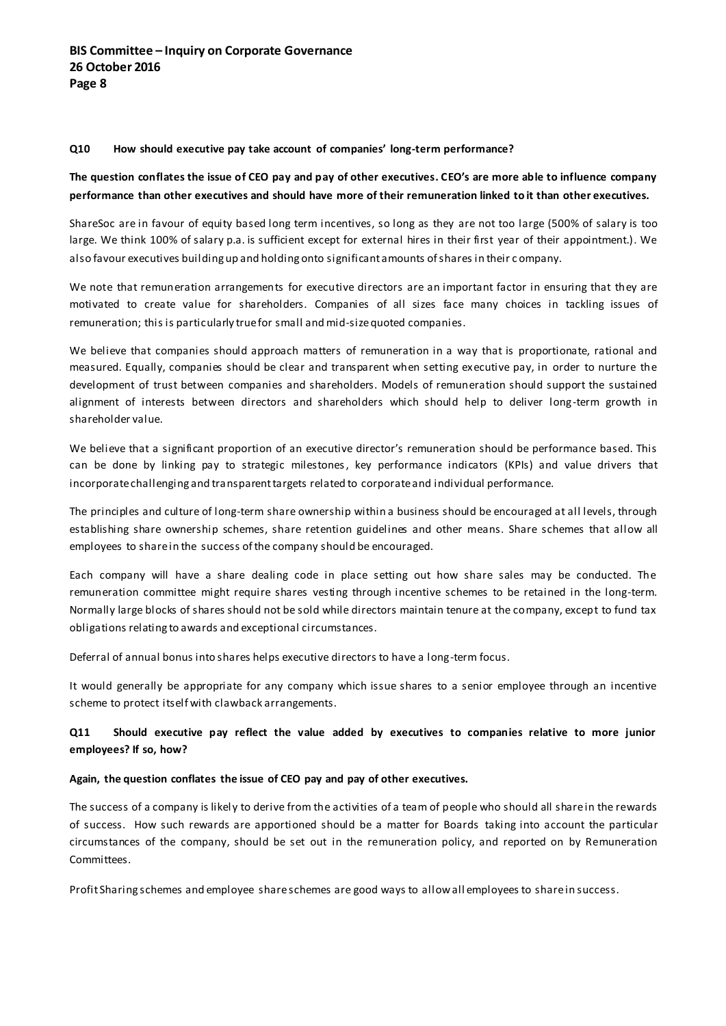#### **Q10 How should executive pay take account of companies' long-term performance?**

### **The question conflates the issue of CEO pay and pay of other executives. CEO's are more able to influence company performance than other executives and should have more of their remuneration linked to it than other executives.**

ShareSoc are in favour of equity based long term incentives, so long as they are not too large (500% of salary is too large. We think 100% of salary p.a. is sufficient except for external hires in their first year of their appointment.). We also favour executives building up and holding onto significant amounts of shares in their c ompany.

We note that remuneration arrangements for executive directors are an important factor in ensuring that they are motivated to create value for shareholders. Companies of all sizes face many choices in tackling issues of remuneration; this is particularly true for small and mid-size quoted companies.

We believe that companies should approach matters of remuneration in a way that is proportionate, rational and measured. Equally, companies should be clear and transparent when setting executive pay, in order to nurture the development of trust between companies and shareholders. Models of remuneration should support the sustained alignment of interests between directors and shareholders which should help to deliver long-term growth in shareholder value.

We believe that a significant proportion of an executive director's remuneration should be performance based. This can be done by linking pay to strategic milestones, key performance indicators (KPIs) and value drivers that incorporate challenging and transparent targets related to corporate and individual performance.

The principles and culture of long-term share ownership within a business should be encouraged at all levels, through establishing share ownership schemes, share retention guidelines and other means. Share schemes that allow all employees to share in the success of the company should be encouraged.

Each company will have a share dealing code in place setting out how share sales may be conducted. The remuneration committee might require shares vesting through incentive schemes to be retained in the long-term. Normally large blocks of shares should not be sold while directors maintain tenure at the company, except to fund tax obligations relating to awards and exceptional circumstances.

Deferral of annual bonus into shares helps executive directors to have a long-term focus.

It would generally be appropriate for any company which issue shares to a senior employee through an incentive scheme to protect itself with clawback arrangements.

### **Q11 Should executive pay reflect the value added by executives to companies relative to more junior employees? If so, how?**

#### **Again, the question conflates the issue of CEO pay and pay of other executives.**

The success of a company is likely to derive from the activities of a team of people who should all share in the rewards of success. How such rewards are apportioned should be a matter for Boards taking into account the particular circumstances of the company, should be set out in the remuneration policy, and reported on by Remuneration Committees.

Profit Sharing schemes and employee share schemes are good ways to allow all employees to share in success.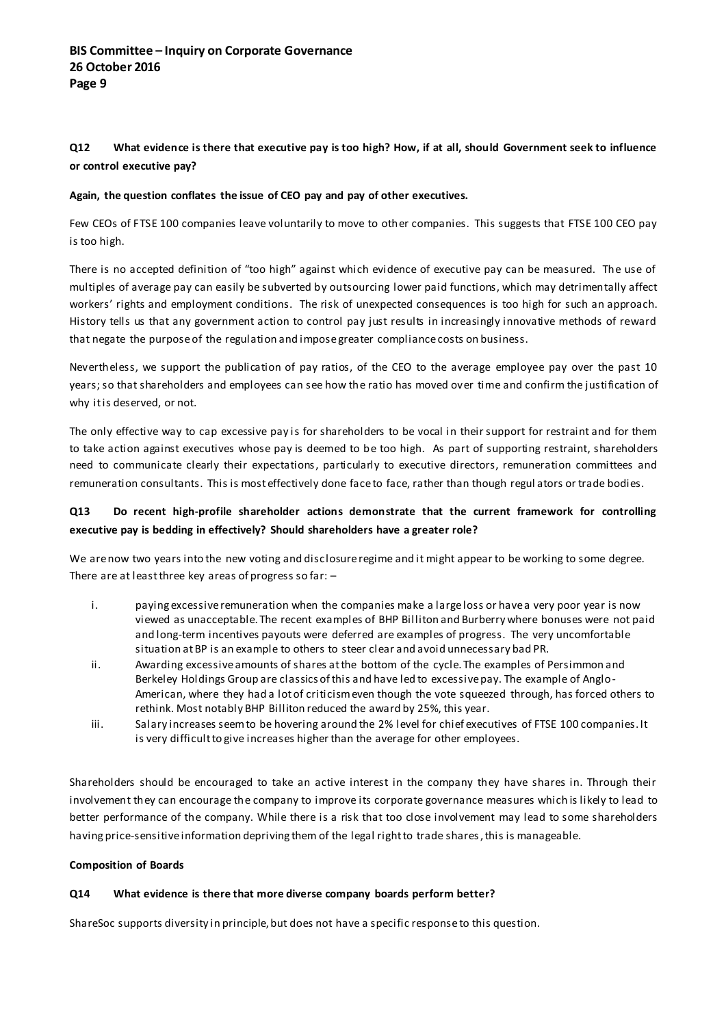### **Q12 What evidence is there that executive pay is too high? How, if at all, should Government seek to influence or control executive pay?**

### **Again, the question conflates the issue of CEO pay and pay of other executives.**

Few CEOs of FTSE 100 companies leave voluntarily to move to other companies. This suggests that FTSE 100 CEO pay is too high.

There is no accepted definition of "too high" against which evidence of executive pay can be measured. The use of multiples of average pay can easily be subverted by outsourcing lower paid functions, which may detrimentally affect workers' rights and employment conditions. The risk of unexpected consequences is too high for such an approach. History tells us that any government action to control pay just results in increasingly innovative methods of reward that negate the purpose of the regulation and impose greater compliance costs on business.

Nevertheless, we support the publication of pay ratios, of the CEO to the average employee pay over the past 10 years; so that shareholders and employees can see how the ratio has moved over time and confirm the justification of why it is deserved, or not.

The only effective way to cap excessive pay is for shareholders to be vocal in their support for restraint and for them to take action against executives whose pay is deemed to be too high. As part of supporting restraint, shareholders need to communicate clearly their expectations, particularly to executive directors, remuneration committees and remuneration consultants. This is most effectively done face to face, rather than though regul ators or trade bodies.

### **Q13 Do recent high-profile shareholder actions demonstrate that the current framework for controlling executive pay is bedding in effectively? Should shareholders have a greater role?**

We are now two years into the new voting and disclosure regime and it might appear to be working to some degree. There are at least three key areas of progress so far: –

- i. paying excessive remuneration when the companies make a large loss or have a very poor year is now viewed as unacceptable. The recent examples of BHP Billiton and Burberry where bonuses were not paid and long-term incentives payouts were deferred are examples of progress. The very uncomfortable situation at BP is an example to others to steer clear and avoid unnecessary bad PR.
- ii. Awarding excessive amounts of shares at the bottom of the cycle. The examples of Persimmon and Berkeley Holdings Group are classics of this and have led to excessive pay. The example of Anglo-American, where they had a lot of criticism even though the vote squeezed through, has forced others to rethink. Most notably BHP Billiton reduced the award by 25%, this year.
- iii. Salary increases seem to be hovering around the 2% level for chief executives of FTSE 100 companies. It is very difficult to give increases higher than the average for other employees.

Shareholders should be encouraged to take an active interest in the company they have shares in. Through their involvement they can encourage the company to improve its corporate governance measures which is likely to lead to better performance of the company. While there is a risk that too close involvement may lead to some shareholders having price-sensitive information depriving them of the legal right to trade shares, this is manageable.

### **Composition of Boards**

### **Q14 What evidence is there that more diverse company boards perform better?**

ShareSoc supports diversity in principle, but does not have a specific response to this question.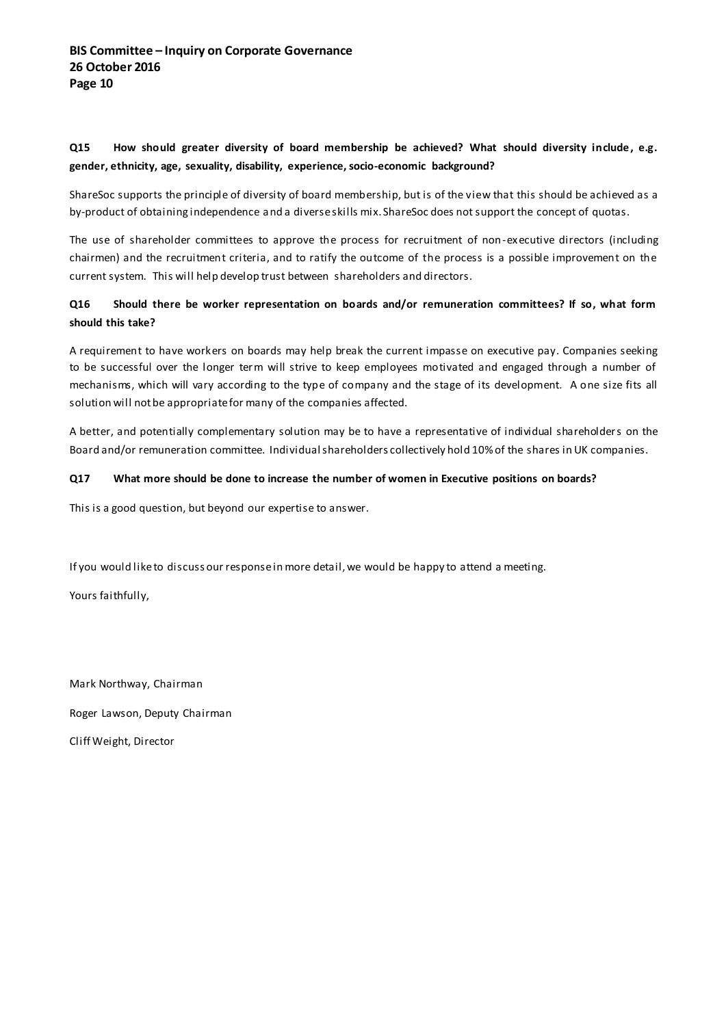### **Q15 How should greater diversity of board membership be achieved? What should diversity include , e.g. gender, ethnicity, age, sexuality, disability, experience, socio-economic background?**

ShareSoc supports the principle of diversity of board membership, but is of the view that this should be achieved as a by-product of obtaining independence and a diverse skills mix. ShareSoc does not support the concept of quotas.

The use of shareholder committees to approve the process for recruitment of non-executive directors (including chairmen) and the recruitment criteria, and to ratify the outcome of the process is a possible improvement on the current system. This will help develop trust between shareholders and directors.

### **Q16 Should there be worker representation on boards and/or remuneration committees? If so, what form should this take?**

A requirement to have workers on boards may help break the current impasse on executive pay. Companies seeking to be successful over the longer term will strive to keep employees motivated and engaged through a number of mechanisms, which will vary according to the type of company and the stage of its development. A one size fits all solution will not be appropriate for many of the companies affected.

A better, and potentially complementary solution may be to have a representative of individual shareholders on the Board and/or remuneration committee. Individual shareholders collectively hold 10% of the shares in UK companies.

### **Q17 What more should be done to increase the number of women in Executive positions on boards?**

This is a good question, but beyond our expertise to answer.

If you would like to discuss our response in more detail, we would be happy to attend a meeting.

Yours faithfully,

Mark Northway, Chairman Roger Lawson, Deputy Chairman Cliff Weight, Director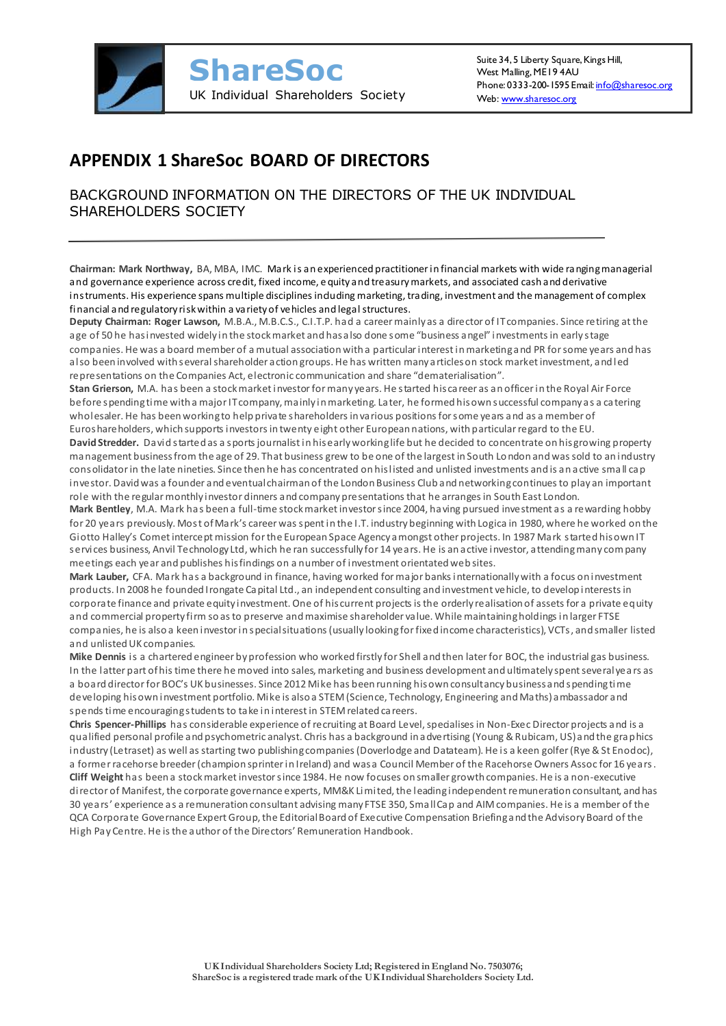

# **APPENDIX 1 ShareSoc BOARD OF DIRECTORS**

BACKGROUND INFORMATION ON THE DIRECTORS OF THE UK INDIVIDUAL SHAREHOLDERS SOCIETY

**Chairman: Mark Northway,** BA, MBA, IMC. Mark is an experienced practitioner in financial markets with wide ranging managerial and governance experience across credit, fixed income, e quity and treasury markets, and associated cash and derivative instruments. His experience spans multiple disciplines induding marketing, trading, investment and the management of complex financial and regulatory risk within a variety of vehicles and legal structures.

**Deputy Chairman: Roger Lawson,** M.B.A., M.B.C.S., C.I.T.P. had a career mainly as a director of IT companies. Since retiring at the age of 50 he has invested widely in the stock market and has also done some "business angel" investments in early stage companies. He was a board member of a mutual association with a particular interest in marketing and PR for some years and has also been involved with several shareholder action groups. He has written many articles on stock market investment, and led representations on the Companies Act, electronic communication and share "dematerialisation".

**Stan Grierson,** M.A. has been a stock market investor for many years. He started his career as an officer in the Royal Air Force before spending time with a major IT company, mainly in marketing. Later, he formed his own successful company as a catering wholesaler. He has been working to help private shareholders in various positions for some years and as a member of Euroshareholders, which supports investors in twenty eight other European nations, with particular regard to the EU.

**David Stredder.** David started as a sports journalist in his early working life but he decided to concentrate on his growing property management businessfrom the age of 29. That business grew to be one of the largest in South London and was sold to an industry consolidator in the late nineties. Since then he has concentrated on his listed and unlisted investments and is an active sma ll cap investor. David was a founder and eventual chairman of the London Business Club and networking continues to play an important role with the regular monthly investor dinners and company presentations that he arranges in South East London.

**Mark Bentley**, M.A. Mark has been a full-time stock market investor since 2004, having pursued investment as a rewarding hobby for 20 years previously. Most of Mark's career was spent in the I.T. industry beginning with Logica in 1980, where he worked on the Giotto Halley's Comet intercept mission for the European Space Agency amongst other projects. In 1987 Mark started his own IT services business, Anvil Technology Ltd, which he ran successfully for 14 years. He is an active investor, attending many company meetings each year and publishes his findings on a number of investment orientated web sites.

**Mark Lauber,** CFA. Mark has a background in finance, having worked for major banks internationally with a focus on investment products. In 2008 he founded Irongate Capital Ltd., an independent consulting and investment vehicle, to develop interests in corporate finance and private equity investment. One of his current projects is the orderly realisation of assets for a private equity and commercial property firm so as to preserve and maximise shareholder value. While maintaining holdings in larger FTSE companies, he is also a keen investor in special situations (usually looking for fixed income characteristics), VCTs, and smaller listed and unlisted UK companies.

**Mike Dennis** is a chartered engineer by profession who worked firstly for Shell and then later for BOC, the industrial gas business. In the latter part of his time there he moved into sales, marketing and business development and ultimately spent several yea rs as a board director for BOC's UK businesses. Since 2012 Mike has been running his own consultancy business and spending time developing his own investment portfolio. Mike is also a STEM (Science, Technology, Engineering and Maths) ambassador and spends time encouraging students to take in interest in STEM related careers.

**Chris Spencer-Phillips** has considerable experience of recruiting at Board Level, specialises in Non-Exec Director projects and is a qualified personal profile and psychometric analyst. Chris has a background in advertising (Young & Rubicam, US) and the graphics industry (Letraset) as well as starting two publishing companies (Doverlodge and Datateam). He is a keen golfer (Rye & St Enodoc), a former racehorse breeder (champion sprinter in Ireland) and was a Council Member of the Racehorse Owners Assoc for 16 years. **Cliff Weight** has been a stock market investor since 1984. He now focuses on smaller growth companies. He is a non-executive director of Manifest, the corporate governance experts, MM&K Limited, the leading independent remuneration consultant, and has 30 years' experience a s a remuneration consultant advising many FTSE 350, Small Cap and AIM companies. He is a member of the QCA Corporate Governance Expert Group, the Editorial Board of Executive Compensation Briefing and the Advisory Board of the High Pay Centre. He is the author of the Directors' Remuneration Handbook.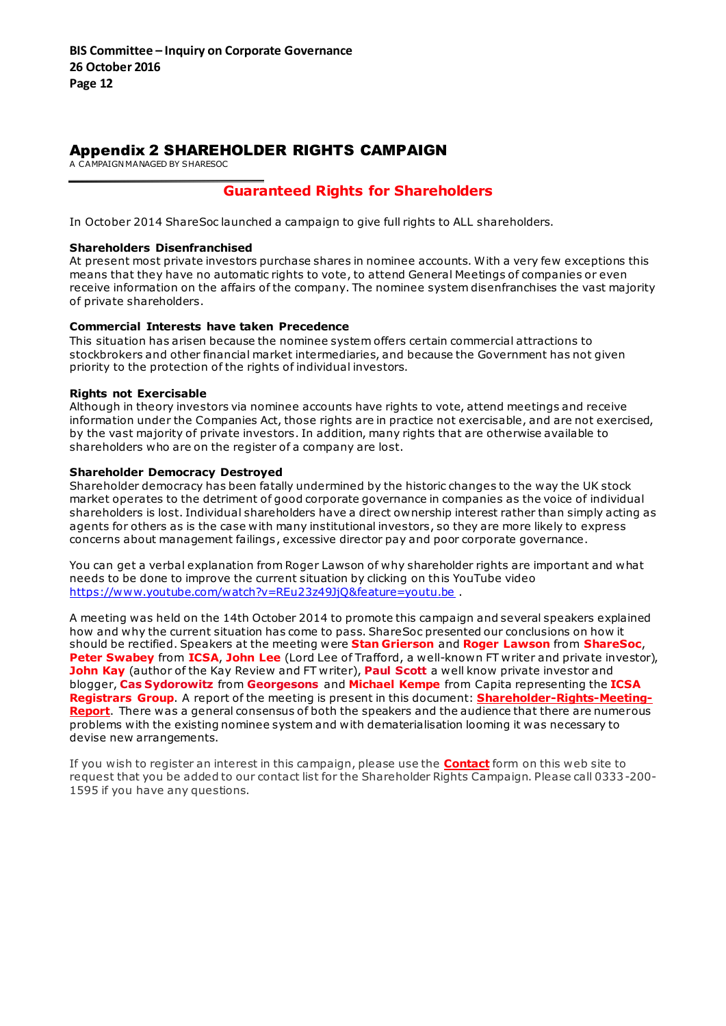### Appendix 2 SHAREHOLDER RIGHTS CAMPAIGN

A CAMPAIGN MANAGED BY SHARESOC

## **Guaranteed Rights for Shareholders**

In October 2014 ShareSoc launched a campaign to give full rights to ALL shareholders.

#### **Shareholders Disenfranchised**

At present most private investors purchase shares in nominee accounts. With a very few exceptions this means that they have no automatic rights to vote, to attend General Meetings of companies or even receive information on the affairs of the company. The nominee system disenfranchises the vast majority of private shareholders.

### **Commercial Interests have taken Precedence**

This situation has arisen because the nominee system offers certain commercial attractions to stockbrokers and other financial market intermediaries, and because the Government has not given priority to the protection of the rights of individual investors.

### **Rights not Exercisable**

Although in theory investors via nominee accounts have rights to vote, attend meetings and receive information under the Companies Act, those rights are in practice not exercisable, and are not exercised, by the vast majority of private investors. In addition, many rights that are otherwise available to shareholders who are on the register of a company are lost.

### **Shareholder Democracy Destroyed**

Shareholder democracy has been fatally undermined by the historic changes to the way the UK stock market operates to the detriment of good corporate governance in companies as the voice of individual shareholders is lost. Individual shareholders have a direct ownership interest rather than simply acting as agents for others as is the case with many institutional investors, so they are more likely to express concerns about management failings, excessive director pay and poor corporate governance.

You can get a verbal explanation from Roger Lawson of why shareholder rights are important and what needs to be done to improve the current situation by clicking on this YouTube video <https://www.youtube.com/watch?v=REu23z49JjQ&feature=youtu.be> .

A meeting was held on the 14th October 2014 to promote this campaign and several speakers explained how and why the current situation has come to pass. ShareSoc presented our conclusions on how it should be rectified. Speakers at the meeting were **Stan Grierson** and **Roger Lawson** from **ShareSoc**, **Peter Swabey** from **ICSA**, **John Lee** (Lord Lee of Trafford, a well-known FT writer and private investor), **John Kay** (author of the Kay Review and FT writer), **Paul Scott** a well know private investor and blogger, **Cas Sydorowitz** from **Georgesons** and **Michael Kempe** from Capita representing the **ICSA Registrars Group**. A report of the meeting is present in this document: **[Shareholder-Rights-Meeting-](http://www.sharesoc.org/Shareholder-Rights-Meeting-Report.pdf)[Report](http://www.sharesoc.org/Shareholder-Rights-Meeting-Report.pdf)**. There was a general consensus of both the speakers and the audience that there are numerous problems with the existing nominee system and with dematerialisation looming it was necessary to devise new arrangements.

If you wish to register an interest in this campaign, please use the **[Contact](http://www.sharesoc.org/contact.html)** form on this web site to request that you be added to our contact list for the Shareholder Rights Campaign. Please call 0333-200- 1595 if you have any questions.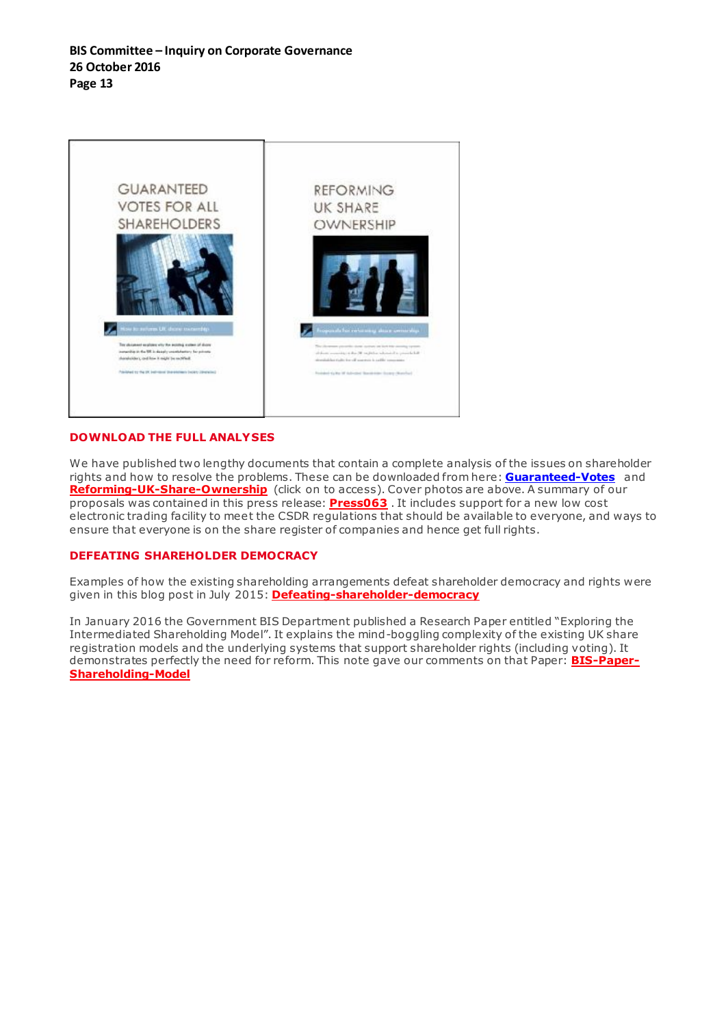

### **DOWNLOAD THE FULL ANALYSES**

We have published two lengthy documents that contain a complete analysis of the issues on shareholder rights and how to resolve the problems. These can be downloaded from here: **[Guaranteed-Votes](http://www.sharesoc.org/Guaranteed_Votes.pdf)** and **[Reforming-UK-Share-Ownership](http://www.sharesoc.org/Reforming-Share-Ownership.pdf)** (click on to access). Cover photos are above. A summary of our proposals was contained in this press release: **[Press063](http://www.sharesoc.org/pr63sharereform.html)** . It includes support for a new low cost electronic trading facility to meet the CSDR regulations that should be available to everyone, and ways to ensure that everyone is on the share register of companies and hence get full rights.

### **DEFEATING SHAREHOLDER DEMOCRACY**

Examples of how the existing shareholding arrangements defeat shareholder democracy and rights were given in this blog post in July 2015: **[Defeating-shareholder-democracy](https://sharesoc.wordpress.com/2015/07/06/defeating-shareholder-democracy-at-alliance-trust-et-al/)**

In January 2016 the Government BIS Department published a Research Paper entitled "Exploring the Intermediated Shareholding Model". It explains the mind-boggling complexity of the existing UK share registration models and the underlying systems that support shareholder rights (including voting). It demonstrates perfectly the need for reform. This note gave our comments on that Paper: **[BIS-Paper-](http://www.sharesoc.org/BIS-Paper-Shareholding-Model.pdf)[Shareholding-Model](http://www.sharesoc.org/BIS-Paper-Shareholding-Model.pdf)**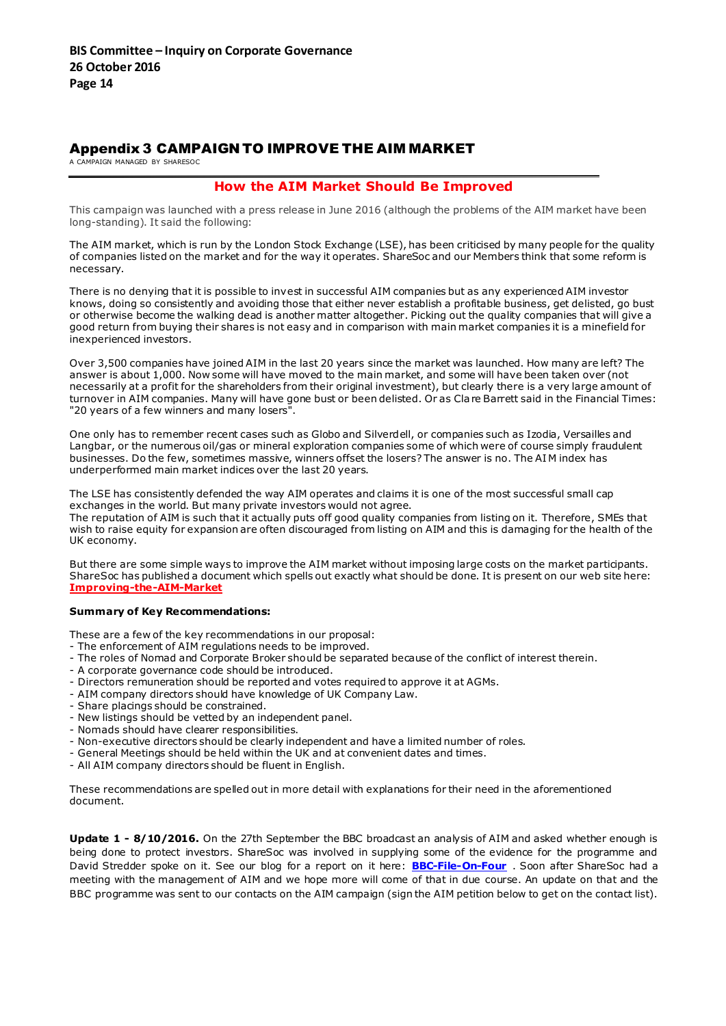### Appendix 3 CAMPAIGN TO IMPROVE THE AIM MARKET

A CAMPAIGN MANAGED BY SHARESOC

### **How the AIM Market Should Be Improved**

This campaign was launched with a press release in June 2016 (although the problems of the AIM market have been long-standing). It said the following:

The AIM market, which is run by the London Stock Exchange (LSE), has been criticised by many people for the quality of companies listed on the market and for the way it operates. ShareSoc and our Members think that some reform is necessary.

There is no denying that it is possible to invest in successful AIM companies but as any experienced AIM investor knows, doing so consistently and avoiding those that either never establish a profitable business, get delisted, go bust or otherwise become the walking dead is another matter altogether. Picking out the quality companies that will give a good return from buying their shares is not easy and in comparison with main market companies it is a minefield for inexperienced investors.

Over 3,500 companies have joined AIM in the last 20 years since the market was launched. How many are left? The answer is about 1,000. Now some will have moved to the main market, and some will have been taken over (not necessarily at a profit for the shareholders from their original investment), but clearly there is a very large amount of turnover in AIM companies. Many will have gone bust or been delisted. Or as Clare Barrett said in the Financial Times: "20 years of a few winners and many losers".

One only has to remember recent cases such as Globo and Silverdell, or companies such as Izodia, Versailles and Langbar, or the numerous oil/gas or mineral exploration companies some of which were of course simply fraudulent businesses. Do the few, sometimes massive, winners offset the losers? The answer is no. The AI M index has underperformed main market indices over the last 20 years.

The LSE has consistently defended the way AIM operates and claims it is one of the most successful small cap exchanges in the world. But many private investors would not agree.

The reputation of AIM is such that it actually puts off good quality companies from listing on it. Therefore, SMEs that wish to raise equity for expansion are often discouraged from listing on AIM and this is damaging for the health of the UK economy.

But there are some simple ways to improve the AIM market without imposing large costs on the market participants. ShareSoc has published a document which spells out exactly what should be done. It is present on our web site here: **[Improving-the-AIM-Market](http://www.sharesoc.org/Improving-the-AIM-Market.pdf)**

#### **Summary of Key Recommendations:**

These are a few of the key recommendations in our proposal:

- The enforcement of AIM regulations needs to be improved.
- The roles of Nomad and Corporate Broker should be separated because of the conflict of interest therein.
- A corporate governance code should be introduced.
- Directors remuneration should be reported and votes required to approve it at AGMs.
- AIM company directors should have knowledge of UK Company Law.
- Share placings should be constrained.
- New listings should be vetted by an independent panel.
- Nomads should have clearer responsibilities.
- Non-executive directors should be clearly independent and have a limited number of roles.
- General Meetings should be held within the UK and at convenient dates and times.
- All AIM company directors should be fluent in English.

These recommendations are spelled out in more detail with explanations for their need in the aforementioned document.

**Update 1 - 8/10/2016.** On the 27th September the BBC broadcast an analysis of AIM and asked whether enough is being done to protect investors. ShareSoc was involved in supplying some of the evidence for the programme and David Stredder spoke on it. See our blog for a report on it here: **[BBC-File-On-Four](https://sharesoc.wordpress.com/2016/09/28/aim-is-enough-being-done-to-protect-investors/)** . Soon after ShareSoc had a meeting with the management of AIM and we hope more will come of that in due course. An update on that and the BBC programme was sent to our contacts on the AIM campaign (sign the AIM petition below to get on the contact list).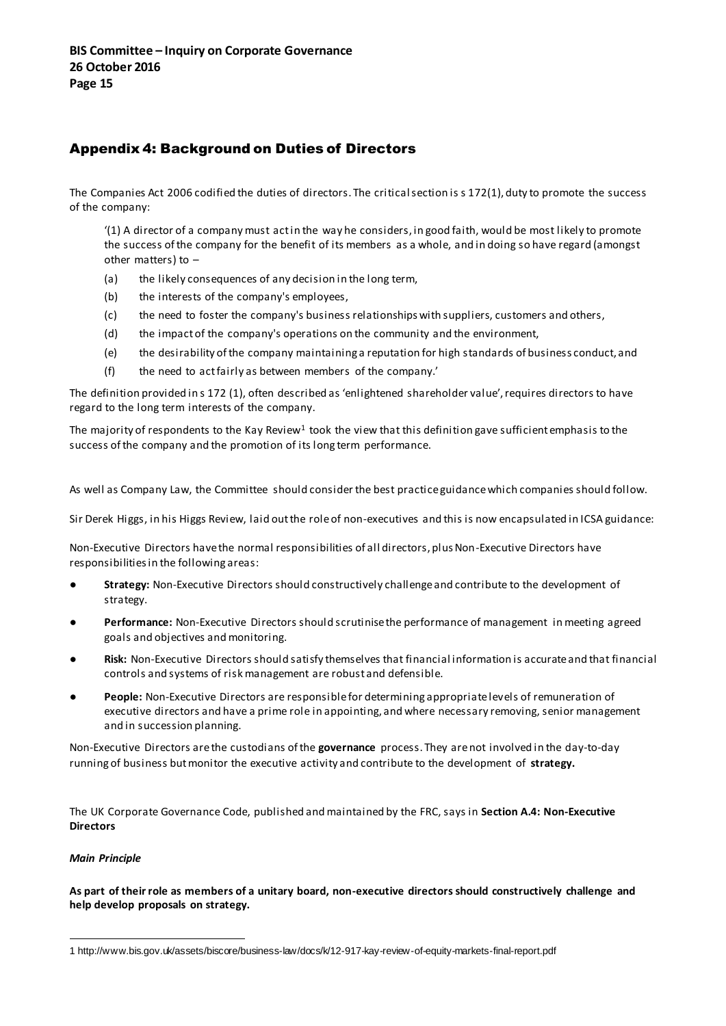# Appendix 4: Background on Duties of Directors

The Companies Act 2006 codified the duties of directors. The critical section is s 172(1), duty to promote the success of the company:

'(1) A director of a company must act in the way he considers, in good faith, would be most likely to promote the success of the company for the benefit of its members as a whole, and in doing so have regard (amongst other matters) to –

- (a) the likely consequences of any decision in the long term,
- (b) the interests of the company's employees,
- (c) the need to foster the company's business relationships with suppliers, customers and others,
- (d) the impact of the company's operations on the community and the environment,
- (e) the desirability of the company maintaining a reputation for high standards of business conduct, and
- (f) the need to act fairly as between members of the company.'

The definition provided in s 172 (1), often described as 'enlightened shareholder value', requires directors to have regard to the long term interests of the company.

The majority of respondents to the Kay Review $^1$  took the view that this definition gave sufficient emphasis to the success of the company and the promotion of its long term performance.

As well as Company Law, the Committee should consider the best practice guidance which companies should follow.

Sir Derek Higgs, in his Higgs Review, laid out the role of non-executives and this is now encapsulated in ICSA guidance:

Non-Executive Directors have the normal responsibilities of all directors, plus Non-Executive Directors have responsibilities in the following areas:

- **Strategy:** Non-Executive Directors should constructively challenge and contribute to the development of strategy.
- Performance: Non-Executive Directors should scrutinise the performance of management in meeting agreed goals and objectives and monitoring.
- **Risk:** Non-Executive Directors should satisfy themselves that financial information is accurate and that financial controls and systems of risk management are robust and defensible.
- People: Non-Executive Directors are responsible for determining appropriate levels of remuneration of executive directors and have a prime role in appointing, and where necessary removing, senior management and in succession planning.

Non-Executive Directors are the custodians of the **governance** process. They are not involved in the day-to-day running of business but monitor the executive activity and contribute to the development of **strategy.**

The UK Corporate Governance Code, published and maintained by the FRC, says in **Section A.4: Non-Executive Directors** 

### *Main Principle*

**As part of their role as members of a unitary board, non-executive directors should constructively challenge and help develop proposals on strategy.** 

 $\overline{a}$ 1 http://www.bis.gov.uk/assets/biscore/business-law/docs/k/12-917-kay-review-of-equity-markets-final-report.pdf